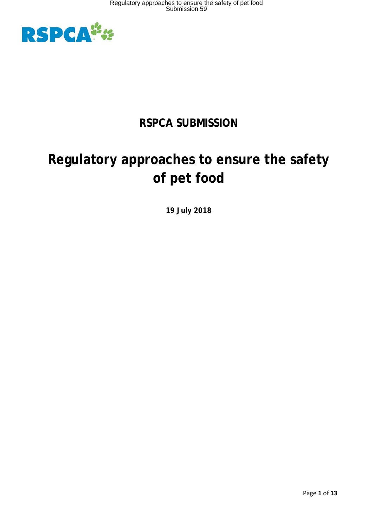

# **RSPCA SUBMISSION**

# **Regulatory approaches to ensure the safety of pet food**

**19 July 2018**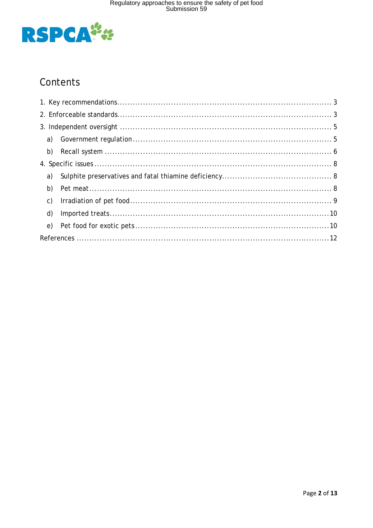

## Contents

| b)             |  |  |
|----------------|--|--|
|                |  |  |
| a)             |  |  |
| b)             |  |  |
| $\mathsf{C}$ ) |  |  |
| d)             |  |  |
| e)             |  |  |
|                |  |  |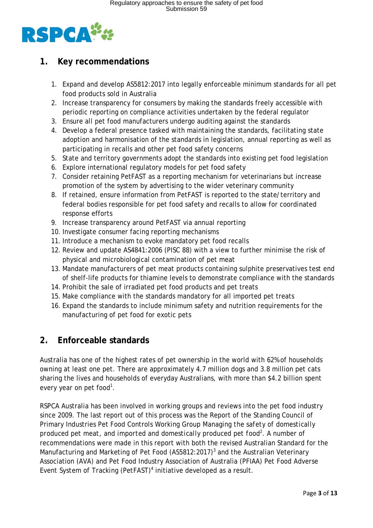

### <span id="page-2-0"></span>**1. Key recommendations**

- 1. Expand and develop AS5812:2017 into legally enforceable minimum standards for all pet food products sold in Australia
- 2. Increase transparency for consumers by making the standards freely accessible with periodic reporting on compliance activities undertaken by the federal regulator
- 3. Ensure all pet food manufacturers undergo auditing against the standards
- 4. Develop a federal presence tasked with maintaining the standards, facilitating state adoption and harmonisation of the standards in legislation, annual reporting as well as participating in recalls and other pet food safety concerns
- 5. State and territory governments adopt the standards into existing pet food legislation
- 6. Explore international regulatory models for pet food safety
- 7. Consider retaining PetFAST as a reporting mechanism for veterinarians but increase promotion of the system by advertising to the wider veterinary community
- 8. If retained, ensure information from PetFAST is reported to the state/territory and federal bodies responsible for pet food safety and recalls to allow for coordinated response efforts
- 9. Increase transparency around PetFAST via annual reporting
- 10. Investigate consumer facing reporting mechanisms
- 11. Introduce a mechanism to evoke mandatory pet food recalls
- 12. Review and update AS4841:2006 (PISC 88) with a view to further minimise the risk of physical and microbiological contamination of pet meat
- 13. Mandate manufacturers of pet meat products containing sulphite preservatives test end of shelf-life products for thiamine levels to demonstrate compliance with the standards
- 14. Prohibit the sale of irradiated pet food products and pet treats
- 15. Make compliance with the standards mandatory for all imported pet treats
- 16. Expand the standards to include minimum safety and nutrition requirements for the manufacturing of pet food for exotic pets

### <span id="page-2-1"></span>**2. Enforceable standards**

Australia has one of the highest rates of pet ownership in the world with 62% of households owning at least one pet. There are approximately 4.7 million dogs and 3.8 million pet cats sharing the lives and households of everyday Australians, with more than \$4.2 billion spent every year on pet food<sup>1</sup>.

RSPCA Australia has been involved in working groups and reviews into the pet food industry since 2009. The last report out of this process was the Report of the Standing Council of Primary Industries Pet Food Controls Working Group *Managing the safety of domestically produced pet meat, and imported and domestically produced pet food2 .* A number of recommendations were made in this report with both the revised Australian Standard for the Manufacturing and Marketing of Pet Food (AS5812:2017)<sup>3</sup> and the Australian Veterinary Association (AVA) and Pet Food Industry Association of Australia (PFIAA) *Pet Food Adverse Event System of Tracking (PetFAST)4* initiative developed as a result.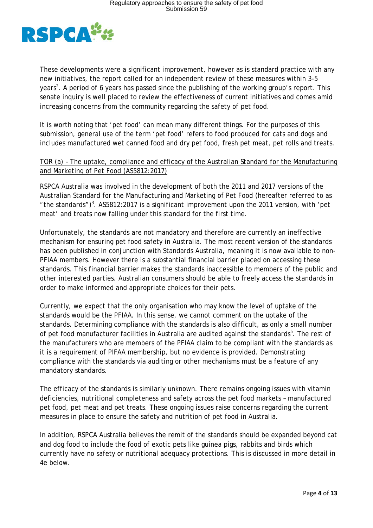

These developments were a significant improvement, however as is standard practice with any new initiatives, the report called for an independent review of these measures within 3-5 years<sup>2</sup>. A period of 6 years has passed since the publishing of the working group's report. This senate inquiry is well placed to review the effectiveness of current initiatives and comes amid increasing concerns from the community regarding the safety of pet food.

It is worth noting that 'pet food' can mean many different things. For the purposes of this submission, general use of the term 'pet food' refers to food produced for cats and dogs and includes manufactured wet canned food and dry pet food, fresh pet meat, pet rolls and treats.

### TOR (a) – The uptake, compliance and efficacy of the Australian Standard for the Manufacturing and Marketing of Pet Food (AS5812:2017)

RSPCA Australia was involved in the development of both the 2011 and 2017 versions of the Australian Standard for the Manufacturing and Marketing of Pet Food (hereafter referred to as " the standards")<sup>3</sup>. AS5812:2017 is a significant improvement upon the 2011 version, with 'pet meat' and treats now falling under this standard for the first time.

Unfortunately, the standards are not mandatory and therefore are currently an ineffective mechanism for ensuring pet food safety in Australia. The most recent version of the standards has been published in conjunction with Standards Australia, meaning it is now available to non-PFIAA members. However there is a substantial financial barrier placed on accessing these standards. This financial barrier makes the standards inaccessible to members of the public and other interested parties. Australian consumers should be able to freely access the standards in order to make informed and appropriate choices for their pets.

Currently, we expect that the only organisation who may know the level of uptake of the standards would be the PFIAA. In this sense, we cannot comment on the uptake of the standards. Determining compliance with the standards is also difficult, as only a small number of pet food manufacturer facilities in Australia are audited against the standards<sup>5</sup>. The rest of the manufacturers who are members of the PFIAA claim to be compliant with the standards as it is a requirement of PIFAA membership, but no evidence is provided. Demonstrating compliance with the standards via auditing or other mechanisms must be a feature of any mandatory standards.

The efficacy of the standards is similarly unknown. There remains ongoing issues with vitamin deficiencies, nutritional completeness and safety across the pet food markets – manufactured pet food, pet meat and pet treats. These ongoing issues raise concerns regarding the current measures in place to ensure the safety and nutrition of pet food in Australia.

In addition, RSPCA Australia believes the remit of the standards should be expanded beyond cat and dog food to include the food of exotic pets like guinea pigs, rabbits and birds which currently have no safety or nutritional adequacy protections. This is discussed in more detail in 4e below.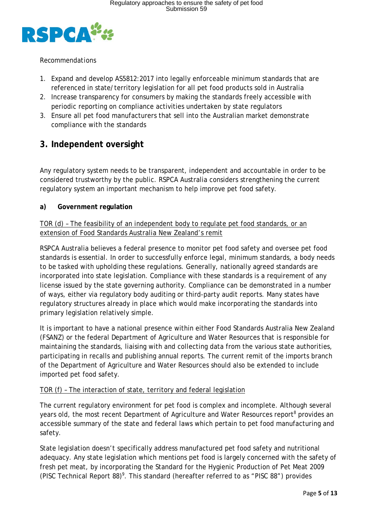

### *Recommendations*

- 1. Expand and develop AS5812:2017 into legally enforceable minimum standards that are referenced in state/territory legislation for all pet food products sold in Australia
- 2. Increase transparency for consumers by making the standards freely accessible with periodic reporting on compliance activities undertaken by state regulators
- 3. Ensure all pet food manufacturers that sell into the Australian market demonstrate compliance with the standards

### <span id="page-4-0"></span>**3. Independent oversight**

Any regulatory system needs to be transparent, independent and accountable in order to be considered trustworthy by the public. RSPCA Australia considers strengthening the current regulatory system an important mechanism to help improve pet food safety.

### <span id="page-4-1"></span>**a) Government regulation**

TOR (d) – The feasibility of an independent body to regulate pet food standards, or an extension of Food Standards Australia New Zealand's remit

RSPCA Australia believes a federal presence to monitor pet food safety and oversee pet food standards is essential. In order to successfully enforce legal, minimum standards, a body needs to be tasked with upholding these regulations. Generally, nationally agreed standards are incorporated into state legislation. Compliance with these standards is a requirement of any license issued by the state governing authority. Compliance can be demonstrated in a number of ways, either via regulatory body auditing or third-party audit reports. Many states have regulatory structures already in place which would make incorporating the standards into primary legislation relatively simple.

It is important to have a national presence within either Food Standards Australia New Zealand (FSANZ) or the federal Department of Agriculture and Water Resources that is responsible for maintaining the standards, liaising with and collecting data from the various state authorities, participating in recalls and publishing annual reports. The current remit of the imports branch of the Department of Agriculture and Water Resources should also be extended to include imported pet food safety.

### TOR (f) – The interaction of state, territory and federal legislation

The current regulatory environment for pet food is complex and incomplete. Although several years old, the most recent Department of Agriculture and Water Resources report<sup>8</sup> provides an accessible summary of the state and federal laws which pertain to pet food manufacturing and safety.

State legislation doesn't specifically address manufactured pet food safety and nutritional adequacy. Any state legislation which mentions pet food is largely concerned with the safety of fresh pet meat, by incorporating the Standard for the Hygienic Production of Pet Meat 2009 (PISC Technical Report 88)<sup>9</sup>. This standard (hereafter referred to as "PISC 88") provides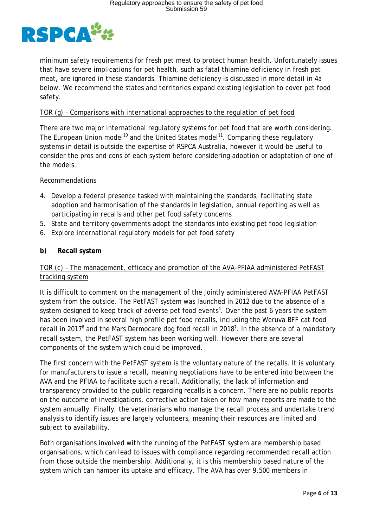

minimum safety requirements for fresh pet meat to protect human health. Unfortunately issues that have severe implications for pet health, such as fatal thiamine deficiency in fresh pet meat, are ignored in these standards. Thiamine deficiency is discussed in more detail in 4a below. We recommend the states and territories expand existing legislation to cover pet food safety.

### TOR (g) – Comparisons with international approaches to the regulation of pet food

There are two major international regulatory systems for pet food that are worth considering. The European Union model<sup>10</sup> and the United States model<sup>11</sup>. Comparing these regulatory systems in detail is outside the expertise of RSPCA Australia, however it would be useful to consider the pros and cons of each system before considering adoption or adaptation of one of the models.

### *Recommendations*

- 4. Develop a federal presence tasked with maintaining the standards, facilitating state adoption and harmonisation of the standards in legislation, annual reporting as well as participating in recalls and other pet food safety concerns
- 5. State and territory governments adopt the standards into existing pet food legislation
- 6. Explore international regulatory models for pet food safety

### <span id="page-5-0"></span>**b) Recall system**

### TOR (c) – The management, efficacy and promotion of the AVA-PFIAA administered PetFAST tracking system

It is difficult to comment on the management of the jointly administered AVA-PFIAA PetFAST system from the outside. The PetFAST system was launched in 2012 due to the absence of a system designed to keep track of adverse pet food events<sup>4</sup>. Over the past 6 years the system has been involved in several high profile pet food recalls, including the Weruva BFF cat food recall in 2017<sup>6</sup> and the Mars Dermocare dog food recall in 2018<sup>7</sup>. In the absence of a mandatory recall system, the PetFAST system has been working well. However there are several components of the system which could be improved.

The first concern with the PetFAST system is the voluntary nature of the recalls. It is voluntary for manufacturers to issue a recall, meaning negotiations have to be entered into between the AVA and the PFIAA to facilitate such a recall. Additionally, the lack of information and transparency provided to the public regarding recalls is a concern. There are no public reports on the outcome of investigations, corrective action taken or how many reports are made to the system annually. Finally, the veterinarians who manage the recall process and undertake trend analysis to identify issues are largely volunteers, meaning their resources are limited and subject to availability.

Both organisations involved with the running of the PetFAST system are membership based organisations, which can lead to issues with compliance regarding recommended recall action from those outside the membership. Additionally, it is this membership based nature of the system which can hamper its uptake and efficacy. The AVA has over 9,500 members in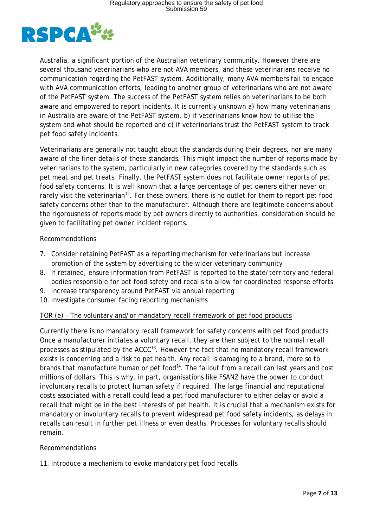

Australia, a significant portion of the Australian veterinary community. However there are several thousand veterinarians who are not AVA members, and these veterinarians receive no communication regarding the PetFAST system. Additionally, many AVA members fail to engage with AVA communication efforts, leading to another group of veterinarians who are not aware of the PetFAST system. The success of the PetFAST system relies on veterinarians to be both aware and empowered to report incidents. It is currently unknown a) how many veterinarians in Australia are aware of the PetFAST system, b) if veterinarians know how to utilise the system and what should be reported and c) if veterinarians trust the PetFAST system to track pet food safety incidents.

Veterinarians are generally not taught about the standards during their degrees, nor are many aware of the finer details of these standards. This might impact the number of reports made by veterinarians to the system, particularly in new categories covered by the standards such as pet meat and pet treats. Finally, the PetFAST system does not facilitate owner reports of pet food safety concerns. It is well known that a large percentage of pet owners either never or rarely visit the veterinarian<sup>12</sup>. For these owners, there is no outlet for them to report pet food safety concerns other than to the manufacturer. Although there are legitimate concerns about the rigorousness of reports made by pet owners directly to authorities, consideration should be given to facilitating pet owner incident reports.

#### *Recommendations*

- 7. Consider retaining PetFAST as a reporting mechanism for veterinarians but increase promotion of the system by advertising to the wider veterinary community
- 8. If retained, ensure information from PetFAST is reported to the state/territory and federal bodies responsible for pet food safety and recalls to allow for coordinated response efforts
- 9. Increase transparency around PetFAST via annual reporting
- 10. Investigate consumer facing reporting mechanisms

### TOR (e) – The voluntary and/or mandatory recall framework of pet food products

Currently there is no mandatory recall framework for safety concerns with pet food products. Once a manufacturer initiates a voluntary recall, they are then subject to the normal recall processes as stipulated by the  $ACCC<sup>13</sup>$ . However the fact that no mandatory recall framework exists is concerning and a risk to pet health. Any recall is damaging to a brand, more so to brands that manufacture human or pet food<sup>14</sup>. The fallout from a recall can last years and cost millions of dollars. This is why, in part, organisations like FSANZ have the power to conduct involuntary recalls to protect human safety if required. The large financial and reputational costs associated with a recall could lead a pet food manufacturer to either delay or avoid a recall that might be in the best interests of pet health. It is crucial that a mechanism exists for mandatory or involuntary recalls to prevent widespread pet food safety incidents, as delays in recalls can result in further pet illness or even deaths. Processes for voluntary recalls should remain.

### *Recommendations*

11. Introduce a mechanism to evoke mandatory pet food recalls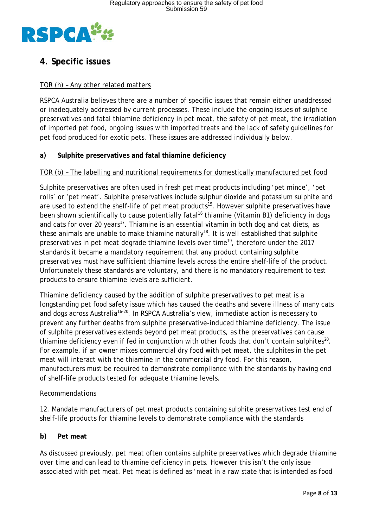

### <span id="page-7-0"></span>**4. Specific issues**

### TOR (h) – Any other related matters

RSPCA Australia believes there are a number of specific issues that remain either unaddressed or inadequately addressed by current processes. These include the ongoing issues of sulphite preservatives and fatal thiamine deficiency in pet meat, the safety of pet meat, the irradiation of imported pet food, ongoing issues with imported treats and the lack of safety guidelines for pet food produced for exotic pets. These issues are addressed individually below.

### <span id="page-7-1"></span>**a) Sulphite preservatives and fatal thiamine deficiency**

### TOR (b) – The labelling and nutritional requirements for domestically manufactured pet food

Sulphite preservatives are often used in fresh pet meat products including 'pet mince', 'pet rolls' or 'pet meat'. Sulphite preservatives include sulphur dioxide and potassium sulphite and are used to extend the shelf-life of pet meat products<sup>15</sup>. However sulphite preservatives have been shown scientifically to cause potentially fatal<sup>16</sup> thiamine (Vitamin B1) deficiency in dogs and cats for over 20 years<sup>17</sup>. Thiamine is an essential vitamin in both dog and cat diets, as these animals are unable to make thiamine naturally<sup>18</sup>. It is well established that sulphite preservatives in pet meat degrade thiamine levels over time<sup>19</sup>, therefore under the 2017 standards it became a mandatory requirement that any product containing sulphite preservatives must have sufficient thiamine levels across the entire shelf-life of the product. Unfortunately these standards are voluntary, and there is no mandatory requirement to test products to ensure thiamine levels are sufficient.

Thiamine deficiency caused by the addition of sulphite preservatives to pet meat is a longstanding pet food safety issue which has caused the deaths and severe illness of many cats and dogs across Australia<sup>16-20</sup>. In RSPCA Australia's view, immediate action is necessary to prevent any further deaths from sulphite preservative-induced thiamine deficiency. The issue of sulphite preservatives extends beyond pet meat products, as the preservatives can cause thiamine deficiency even if fed in conjunction with other foods that don't contain sulphites<sup>20</sup>. For example, if an owner mixes commercial dry food with pet meat, the sulphites in the pet meat will interact with the thiamine in the commercial dry food. For this reason, manufacturers must be required to demonstrate compliance with the standards by having end of shelf-life products tested for adequate thiamine levels.

#### *Recommendations*

12. Mandate manufacturers of pet meat products containing sulphite preservatives test end of shelf-life products for thiamine levels to demonstrate compliance with the standards

### <span id="page-7-2"></span>**b) Pet meat**

As discussed previously, pet meat often contains sulphite preservatives which degrade thiamine over time and can lead to thiamine deficiency in pets. However this isn't the only issue associated with pet meat. Pet meat is defined as 'meat in a raw state that is intended as food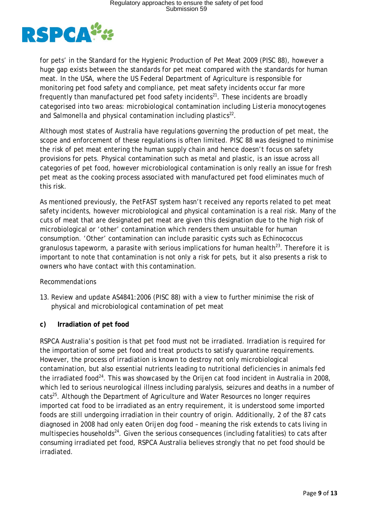

for pets' in the Standard for the Hygienic Production of Pet Meat 2009 (PISC 88), however a huge gap exists between the standards for pet meat compared with the standards for human meat. In the USA, where the US Federal Department of Agriculture is responsible for monitoring pet food safety and compliance, pet meat safety incidents occur far more frequently than manufactured pet food safety incidents<sup>21</sup>. These incidents are broadly categorised into two areas: microbiological contamination including *Listeria monocytogenes*  and *Salmonella* and physical contamination including plastics<sup>22</sup>.

Although most states of Australia have regulations governing the production of pet meat, the scope and enforcement of these regulations is often limited. PISC 88 was designed to minimise the risk of pet meat entering the human supply chain and hence doesn't focus on safety provisions for pets. Physical contamination such as metal and plastic, is an issue across all categories of pet food, however microbiological contamination is only really an issue for fresh pet meat as the cooking process associated with manufactured pet food eliminates much of this risk.

As mentioned previously, the PetFAST system hasn't received any reports related to pet meat safety incidents, however microbiological and physical contamination is a real risk. Many of the cuts of meat that are designated pet meat are given this designation due to the high risk of microbiological or 'other' contamination which renders them unsuitable for human consumption. 'Other' contamination can include parasitic cysts such as *Echinococcus*  granulosus tapeworm, a parasite with serious implications for human health<sup>23</sup>. Therefore it is important to note that contamination is not only a risk for pets, but it also presents a risk to owners who have contact with this contamination.

### *Recommendations*

13. Review and update AS4841:2006 (PISC 88) with a view to further minimise the risk of physical and microbiological contamination of pet meat

#### <span id="page-8-0"></span>**c) Irradiation of pet food**

RSPCA Australia's position is that pet food must not be irradiated. Irradiation is required for the importation of some pet food and treat products to satisfy quarantine requirements. However, the process of irradiation is known to destroy not only microbiological contamination, but also essential nutrients leading to nutritional deficiencies in animals fed the irradiated food<sup>24</sup>. This was showcased by the Orijen cat food incident in Australia in 2008, which led to serious neurological illness including paralysis, seizures and deaths in a number of  $cats^{25}$ . Although the Department of Agriculture and Water Resources no longer requires imported cat food to be irradiated as an entry requirement, it is understood some imported foods are still undergoing irradiation in their country of origin. Additionally, 2 of the 87 cats diagnosed in 2008 had only eaten Orijen dog food – meaning the risk extends to cats living in multispecies households<sup>24</sup>. Given the serious consequences (including fatalities) to cats after consuming irradiated pet food, RSPCA Australia believes strongly that no pet food should be irradiated.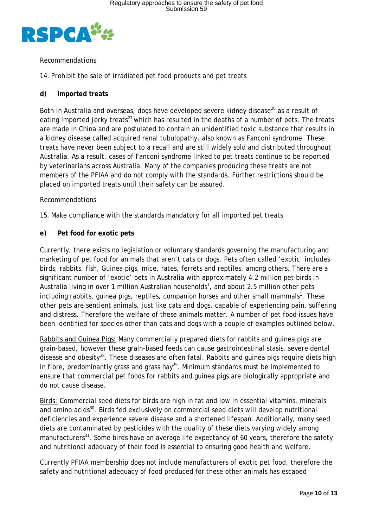

### *Recommendations*

14. Prohibit the sale of irradiated pet food products and pet treats

### <span id="page-9-0"></span>**d) Imported treats**

Both in Australia and overseas, dogs have developed severe kidney disease<sup>26</sup> as a result of eating imported jerky treats<sup>27</sup> which has resulted in the deaths of a number of pets. The treats are made in China and are postulated to contain an unidentified toxic substance that results in a kidney disease called acquired renal tubulopathy, also known as Fanconi syndrome. These treats have never been subject to a recall and are still widely sold and distributed throughout Australia. As a result, cases of Fanconi syndrome linked to pet treats continue to be reported by veterinarians across Australia. Many of the companies producing these treats are not members of the PFIAA and do not comply with the standards. Further restrictions should be placed on imported treats until their safety can be assured.

#### *Recommendations*

15. Make compliance with the standards mandatory for all imported pet treats

### <span id="page-9-1"></span>**e) Pet food for exotic pets**

Currently, there exists no legislation or voluntary standards governing the manufacturing and marketing of pet food for animals that aren't cats or dogs. Pets often called 'exotic' includes birds, rabbits, fish, Guinea pigs, mice, rates, ferrets and reptiles, among others. There are a significant number of 'exotic' pets in Australia with approximately 4.2 million pet birds in Australia living in over 1 million Australian households<sup>1</sup>, and about 2.5 million other pets including rabbits, guinea pigs, reptiles, companion horses and other small mammals<sup>1</sup>. These other pets are sentient animals, just like cats and dogs, capable of experiencing pain, suffering and distress. Therefore the welfare of these animals matter. A number of pet food issues have been identified for species other than cats and dogs with a couple of examples outlined below.

Rabbits and Guinea Pigs: Many commercially prepared diets for rabbits and quinea pigs are grain-based, however these grain-based feeds can cause gastrointestinal stasis, severe dental disease and obesity<sup>28</sup>. These diseases are often fatal. Rabbits and guinea pigs require diets high in fibre, predominantly grass and grass hay<sup>29</sup>. Minimum standards must be implemented to ensure that commercial pet foods for rabbits and guinea pigs are biologically appropriate and do not cause disease.

Birds: Commercial seed diets for birds are high in fat and low in essential vitamins, minerals and amino acids<sup>30</sup>. Birds fed exclusively on commercial seed diets will develop nutritional deficiencies and experience severe disease and a shortened lifespan. Additionally, many seed diets are contaminated by pesticides with the quality of these diets varying widely among manufacturers<sup>31</sup>. Some birds have an average life expectancy of 60 years, therefore the safety and nutritional adequacy of their food is essential to ensuring good health and welfare.

Currently PFIAA membership does not include manufacturers of exotic pet food, therefore the safety and nutritional adequacy of food produced for these other animals has escaped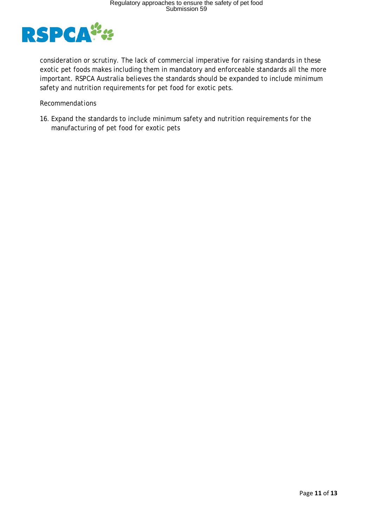

consideration or scrutiny. The lack of commercial imperative for raising standards in these exotic pet foods makes including them in mandatory and enforceable standards all the more important. RSPCA Australia believes the standards should be expanded to include minimum safety and nutrition requirements for pet food for exotic pets.

#### *Recommendations*

16. Expand the standards to include minimum safety and nutrition requirements for the manufacturing of pet food for exotic pets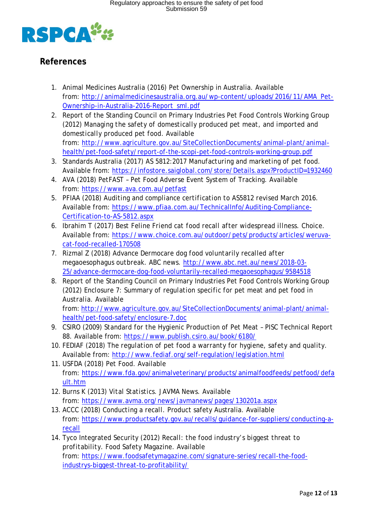

### <span id="page-11-0"></span>**References**

- 1. Animal Medicines Australia (2016) Pet Ownership in Australia. Available from: [http://animalmedicinesaustralia.org.au/wp-content/uploads/2016/11/AMA\\_Pet-](http://animalmedicinesaustralia.org.au/wp-content/uploads/2016/11/AMA_Pet-Ownership-in-Australia-2016-Report_sml.pdf)[Ownership-in-Australia-2016-Report\\_sml.pdf](http://animalmedicinesaustralia.org.au/wp-content/uploads/2016/11/AMA_Pet-Ownership-in-Australia-2016-Report_sml.pdf)
- 2. Report of the Standing Council on Primary Industries Pet Food Controls Working Group (2012) *Managing the safety of domestically produced pet meat, and imported and domestically produced pet food.* Available from: [http://www.agriculture.gov.au/SiteCollectionDocuments/animal-plant/animal](http://www.agriculture.gov.au/SiteCollectionDocuments/animal-plant/animal-health/pet-food-safety/report-of-the-scopi-pet-food-controls-working-group.pdf)[health/pet-food-safety/report-of-the-scopi-pet-food-controls-working-group.pdf](http://www.agriculture.gov.au/SiteCollectionDocuments/animal-plant/animal-health/pet-food-safety/report-of-the-scopi-pet-food-controls-working-group.pdf)
- 3. Standards Australia (2017) *AS 5812:2017 Manufacturing and marketing of pet food.* Available from:<https://infostore.saiglobal.com/store/Details.aspx?ProductID=1932460>
- 4. AVA (2018) *PetFAST – Pet Food Adverse Event System of Tracking.* Available from:<https://www.ava.com.au/petfast>
- 5. PFIAA (2018) *Auditing and compliance certification to AS5812 revised March 2016.*  Available from: [https://www.pfiaa.com.au/TechnicalInfo/Auditing-Compliance-](https://www.pfiaa.com.au/TechnicalInfo/Auditing-Compliance-Certification-to-AS-5812.aspx)[Certification-to-AS-5812.aspx](https://www.pfiaa.com.au/TechnicalInfo/Auditing-Compliance-Certification-to-AS-5812.aspx)
- 6. Ibrahim T (2017) *Best Feline Friend cat food recall after widespread illness*. Choice. Available from: [https://www.choice.com.au/outdoor/pets/products/articles/weruva](https://www.choice.com.au/outdoor/pets/products/articles/weruva-cat-food-recalled-170508)[cat-food-recalled-170508](https://www.choice.com.au/outdoor/pets/products/articles/weruva-cat-food-recalled-170508)
- 7. Rizmal Z (2018) *Advance Dermocare dog food voluntarily recalled after megaoesophagus outbreak.* ABC news. [http://www.abc.net.au/news/2018-03-](http://www.abc.net.au/news/2018-03-25/advance-dermocare-dog-food-voluntarily-recalled-megaoesophagus/9584518) [25/advance-dermocare-dog-food-voluntarily-recalled-megaoesophagus/9584518](http://www.abc.net.au/news/2018-03-25/advance-dermocare-dog-food-voluntarily-recalled-megaoesophagus/9584518)
- 8. Report of the Standing Council on Primary Industries Pet Food Controls Working Group (2012) *Enclosure 7: Summary of regulation specific for pet meat and pet food in Australia.* Available

from: [http://www.agriculture.gov.au/SiteCollectionDocuments/animal-plant/animal](http://www.agriculture.gov.au/SiteCollectionDocuments/animal-plant/animal-health/pet-food-safety/enclosure-7.doc)[health/pet-food-safety/enclosure-7.doc](http://www.agriculture.gov.au/SiteCollectionDocuments/animal-plant/animal-health/pet-food-safety/enclosure-7.doc)

- 9. CSIRO (2009) *Standard for the Hygienic Production of Pet Meat – PISC Technical Report 88.* Available from:<https://www.publish.csiro.au/book/6180/>
- 10. FEDIAF (2018) *The regulation of pet food a warranty for hygiene, safety and quality.* Available from:<http://www.fediaf.org/self-regulation/legislation.html>
- 11. USFDA (2018) *Pet Food.* Available from: [https://www.fda.gov/animalveterinary/products/animalfoodfeeds/petfood/defa](https://www.fda.gov/animalveterinary/products/animalfoodfeeds/petfood/default.htm) [ult.htm](https://www.fda.gov/animalveterinary/products/animalfoodfeeds/petfood/default.htm)
- 12. Burns K (2013) *Vital Statistics.* JAVMA News. Available from:<https://www.avma.org/news/javmanews/pages/130201a.aspx>
- 13. ACCC (2018) *Conducting a recall.* Product safety Australia. Available from: [https://www.productsafety.gov.au/recalls/guidance-for-suppliers/conducting-a](https://www.productsafety.gov.au/recalls/guidance-for-suppliers/conducting-a-recall)[recall](https://www.productsafety.gov.au/recalls/guidance-for-suppliers/conducting-a-recall)
- 14. Tyco Integrated Security (2012) *Recall: the food industry's biggest threat to profitability*. Food Safety Magazine. Available from: [https://www.foodsafetymagazine.com/signature-series/recall-the-food](https://www.foodsafetymagazine.com/signature-series/recall-the-food-industrys-biggest-threat-to-profitability/)[industrys-biggest-threat-to-profitability/](https://www.foodsafetymagazine.com/signature-series/recall-the-food-industrys-biggest-threat-to-profitability/)